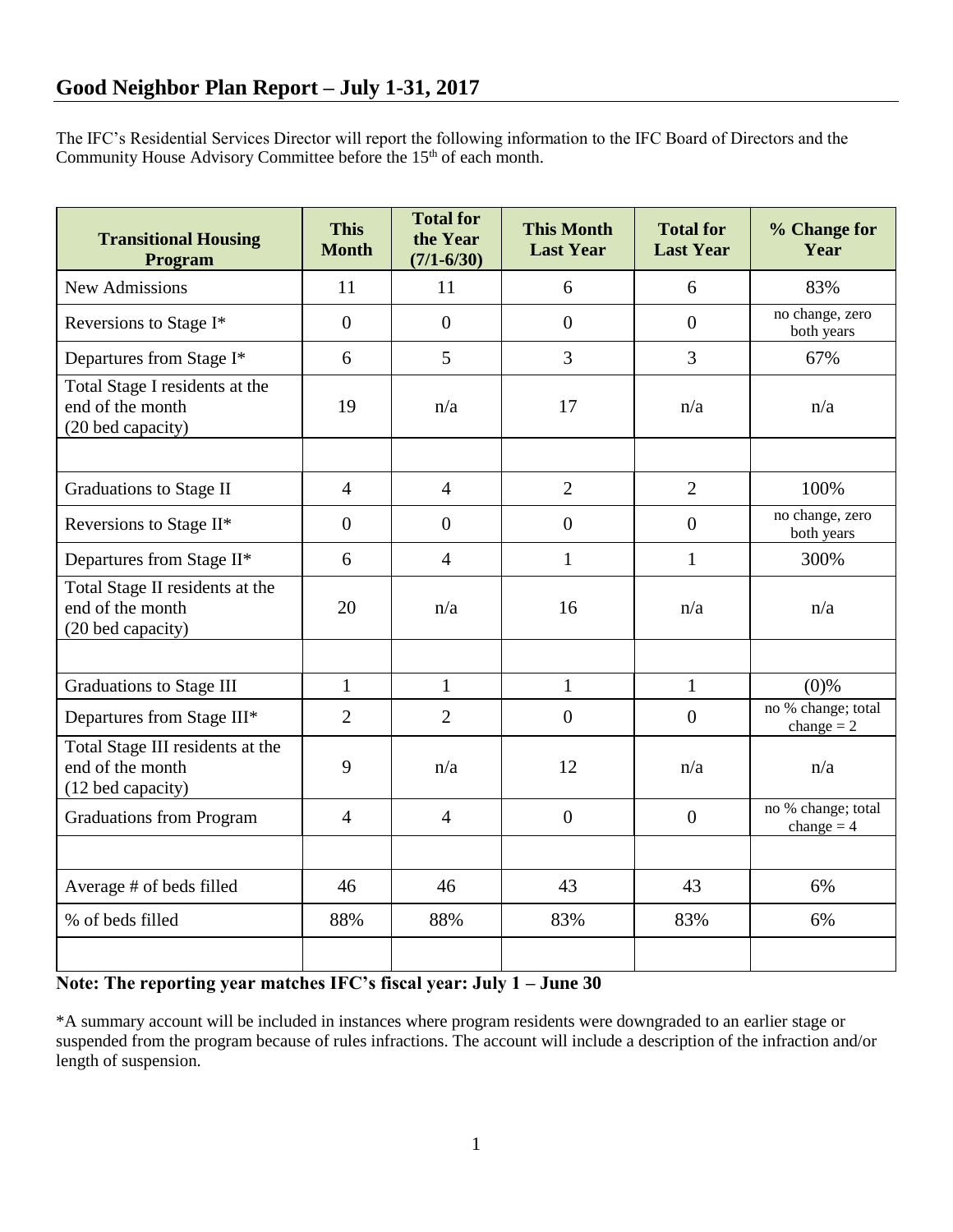The IFC's Residential Services Director will report the following information to the IFC Board of Directors and the Community House Advisory Committee before the 15<sup>th</sup> of each month.

| <b>Transitional Housing</b><br>Program                                    | <b>This</b><br><b>Month</b> | <b>Total for</b><br>the Year<br>$(7/1 - 6/30)$ | <b>This Month</b><br><b>Last Year</b> | <b>Total for</b><br><b>Last Year</b> | % Change for<br>Year               |
|---------------------------------------------------------------------------|-----------------------------|------------------------------------------------|---------------------------------------|--------------------------------------|------------------------------------|
| <b>New Admissions</b>                                                     | 11                          | 11                                             | 6                                     | 6                                    | 83%                                |
| Reversions to Stage I*                                                    | $\overline{0}$              | $\overline{0}$                                 | $\overline{0}$                        | $\overline{0}$                       | no change, zero<br>both years      |
| Departures from Stage I*                                                  | 6                           | 5                                              | 3                                     | 3                                    | 67%                                |
| Total Stage I residents at the<br>end of the month<br>(20 bed capacity)   | 19                          | n/a                                            | 17                                    | n/a                                  | n/a                                |
|                                                                           |                             |                                                |                                       |                                      |                                    |
| Graduations to Stage II                                                   | $\overline{4}$              | $\overline{4}$                                 | $\overline{2}$                        | $\overline{2}$                       | 100%                               |
| Reversions to Stage II*                                                   | $\overline{0}$              | $\overline{0}$                                 | $\overline{0}$                        | $\overline{0}$                       | no change, zero<br>both years      |
| Departures from Stage II*                                                 | 6                           | $\overline{4}$                                 | $\mathbf{1}$                          | $\mathbf{1}$                         | 300%                               |
| Total Stage II residents at the<br>end of the month<br>(20 bed capacity)  | 20                          | n/a                                            | 16                                    | n/a                                  | n/a                                |
|                                                                           |                             |                                                |                                       |                                      |                                    |
| <b>Graduations to Stage III</b>                                           | $\mathbf{1}$                | $\mathbf{1}$                                   | $\mathbf{1}$                          | $\mathbf{1}$                         | $(0)\%$                            |
| Departures from Stage III*                                                | $\overline{2}$              | $\overline{2}$                                 | $\overline{0}$                        | $\overline{0}$                       | no % change; total<br>change $= 2$ |
| Total Stage III residents at the<br>end of the month<br>(12 bed capacity) | 9                           | n/a                                            | 12                                    | n/a                                  | n/a                                |
| <b>Graduations from Program</b>                                           | $\overline{4}$              | $\overline{4}$                                 | $\overline{0}$                        | $\boldsymbol{0}$                     | no % change; total<br>change $= 4$ |
|                                                                           |                             |                                                |                                       |                                      |                                    |
| Average # of beds filled                                                  | 46                          | 46                                             | 43                                    | 43                                   | 6%                                 |
| % of beds filled                                                          | 88%                         | 88%                                            | 83%                                   | 83%                                  | 6%                                 |
|                                                                           |                             |                                                |                                       |                                      |                                    |

# **Note: The reporting year matches IFC's fiscal year: July 1 – June 30**

\*A summary account will be included in instances where program residents were downgraded to an earlier stage or suspended from the program because of rules infractions. The account will include a description of the infraction and/or length of suspension.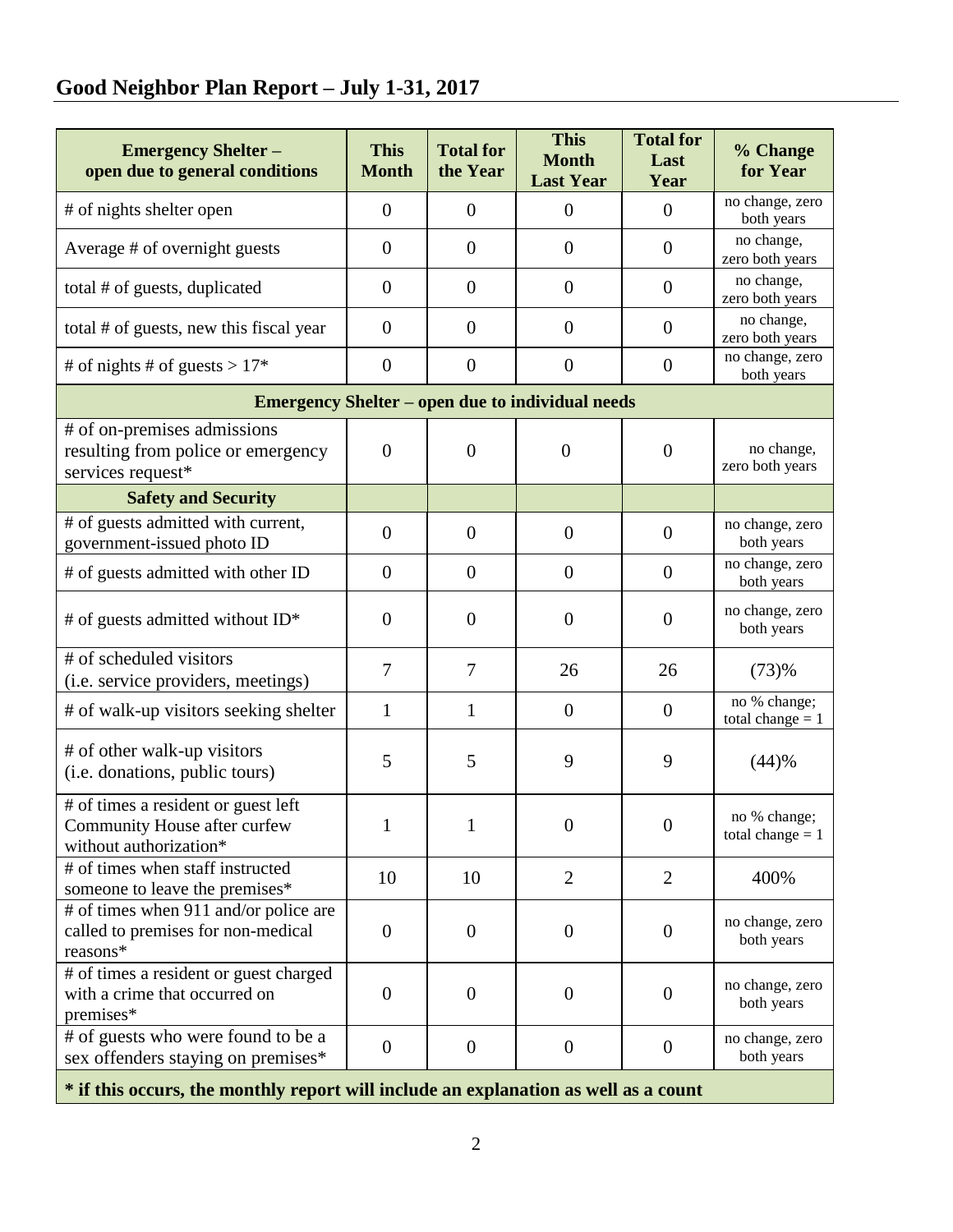# **Good Neighbor Plan Report – July 1-31, 2017**

| <b>Emergency Shelter -</b><br>open due to general conditions                                  | <b>This</b><br><b>Month</b> | <b>Total for</b><br>the Year | <b>This</b><br><b>Month</b><br><b>Last Year</b> | <b>Total for</b><br>Last<br>Year | % Change<br>for Year               |  |  |  |  |
|-----------------------------------------------------------------------------------------------|-----------------------------|------------------------------|-------------------------------------------------|----------------------------------|------------------------------------|--|--|--|--|
| # of nights shelter open                                                                      | $\theta$                    | $\overline{0}$               | $\overline{0}$                                  | $\mathbf{0}$                     | no change, zero<br>both years      |  |  |  |  |
| Average # of overnight guests                                                                 | $\theta$                    | $\theta$                     | $\overline{0}$                                  | $\theta$                         | no change,<br>zero both years      |  |  |  |  |
| total # of guests, duplicated                                                                 | $\overline{0}$              | $\boldsymbol{0}$             | $\overline{0}$                                  | $\overline{0}$                   | no change,<br>zero both years      |  |  |  |  |
| total # of guests, new this fiscal year                                                       | $\boldsymbol{0}$            | $\overline{0}$               | $\overline{0}$                                  | $\theta$                         | no change,<br>zero both years      |  |  |  |  |
| # of nights # of guests > $17*$                                                               | $\boldsymbol{0}$            | $\boldsymbol{0}$             | $\boldsymbol{0}$                                | $\overline{0}$                   | no change, zero<br>both years      |  |  |  |  |
| <b>Emergency Shelter – open due to individual needs</b>                                       |                             |                              |                                                 |                                  |                                    |  |  |  |  |
| # of on-premises admissions<br>resulting from police or emergency<br>services request*        | $\overline{0}$              | $\overline{0}$               | $\theta$                                        | $\theta$                         | no change,<br>zero both years      |  |  |  |  |
| <b>Safety and Security</b>                                                                    |                             |                              |                                                 |                                  |                                    |  |  |  |  |
| # of guests admitted with current,<br>government-issued photo ID                              | $\overline{0}$              | $\overline{0}$               | $\overline{0}$                                  | $\theta$                         | no change, zero<br>both years      |  |  |  |  |
| # of guests admitted with other ID                                                            | $\overline{0}$              | $\mathbf{0}$                 | $\overline{0}$                                  | $\mathbf{0}$                     | no change, zero<br>both years      |  |  |  |  |
| # of guests admitted without ID*                                                              | $\overline{0}$              | $\overline{0}$               | $\overline{0}$                                  | $\mathbf{0}$                     | no change, zero<br>both years      |  |  |  |  |
| # of scheduled visitors<br>(i.e. service providers, meetings)                                 | 7                           | 7                            | 26                                              | 26                               | (73)%                              |  |  |  |  |
| # of walk-up visitors seeking shelter                                                         | 1                           | 1                            | $\overline{0}$                                  | $\overline{0}$                   | no % change;<br>total change $= 1$ |  |  |  |  |
| # of other walk-up visitors<br>(i.e. donations, public tours)                                 | 5                           | 5                            | 9                                               | 9                                | (44)%                              |  |  |  |  |
| # of times a resident or guest left<br>Community House after curfew<br>without authorization* | $\mathbf{1}$                | $\mathbf{1}$                 | $\boldsymbol{0}$                                | $\boldsymbol{0}$                 | no % change;<br>total change $= 1$ |  |  |  |  |
| # of times when staff instructed<br>someone to leave the premises*                            | 10                          | 10                           | $\overline{2}$                                  | $\overline{2}$                   | 400%                               |  |  |  |  |
| # of times when 911 and/or police are<br>called to premises for non-medical<br>reasons*       | $\overline{0}$              | $\mathbf{0}$                 | $\overline{0}$                                  | $\mathbf{0}$                     | no change, zero<br>both years      |  |  |  |  |
| # of times a resident or guest charged<br>with a crime that occurred on<br>premises*          | $\overline{0}$              | $\overline{0}$               | $\overline{0}$                                  | $\overline{0}$                   | no change, zero<br>both years      |  |  |  |  |
| # of guests who were found to be a<br>sex offenders staying on premises*                      | $\overline{0}$              | $\mathbf{0}$                 | $\overline{0}$                                  | $\overline{0}$                   | no change, zero<br>both years      |  |  |  |  |

**\* if this occurs, the monthly report will include an explanation as well as a count**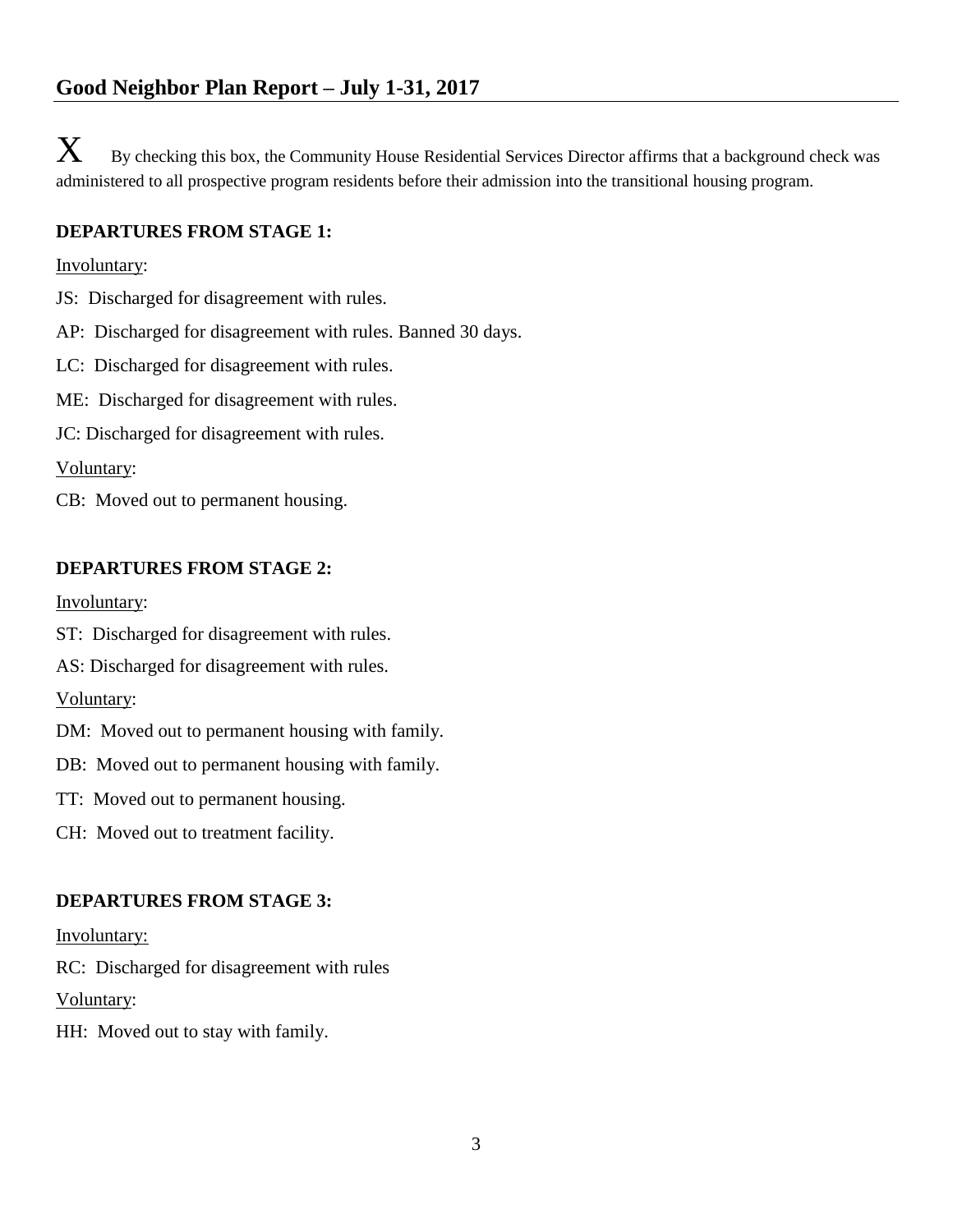$\mathbf X$  By checking this box, the Community House Residential Services Director affirms that a background check was administered to all prospective program residents before their admission into the transitional housing program.

## **DEPARTURES FROM STAGE 1:**

#### Involuntary:

- JS: Discharged for disagreement with rules.
- AP: Discharged for disagreement with rules. Banned 30 days.
- LC: Discharged for disagreement with rules.
- ME: Discharged for disagreement with rules.
- JC: Discharged for disagreement with rules.

# Voluntary:

CB: Moved out to permanent housing.

# **DEPARTURES FROM STAGE 2:**

#### Involuntary:

- ST: Discharged for disagreement with rules.
- AS: Discharged for disagreement with rules.

## Voluntary:

- DM: Moved out to permanent housing with family.
- DB: Moved out to permanent housing with family.
- TT: Moved out to permanent housing.
- CH: Moved out to treatment facility.

# **DEPARTURES FROM STAGE 3:**

## Involuntary:

RC: Discharged for disagreement with rules

Voluntary:

HH: Moved out to stay with family.